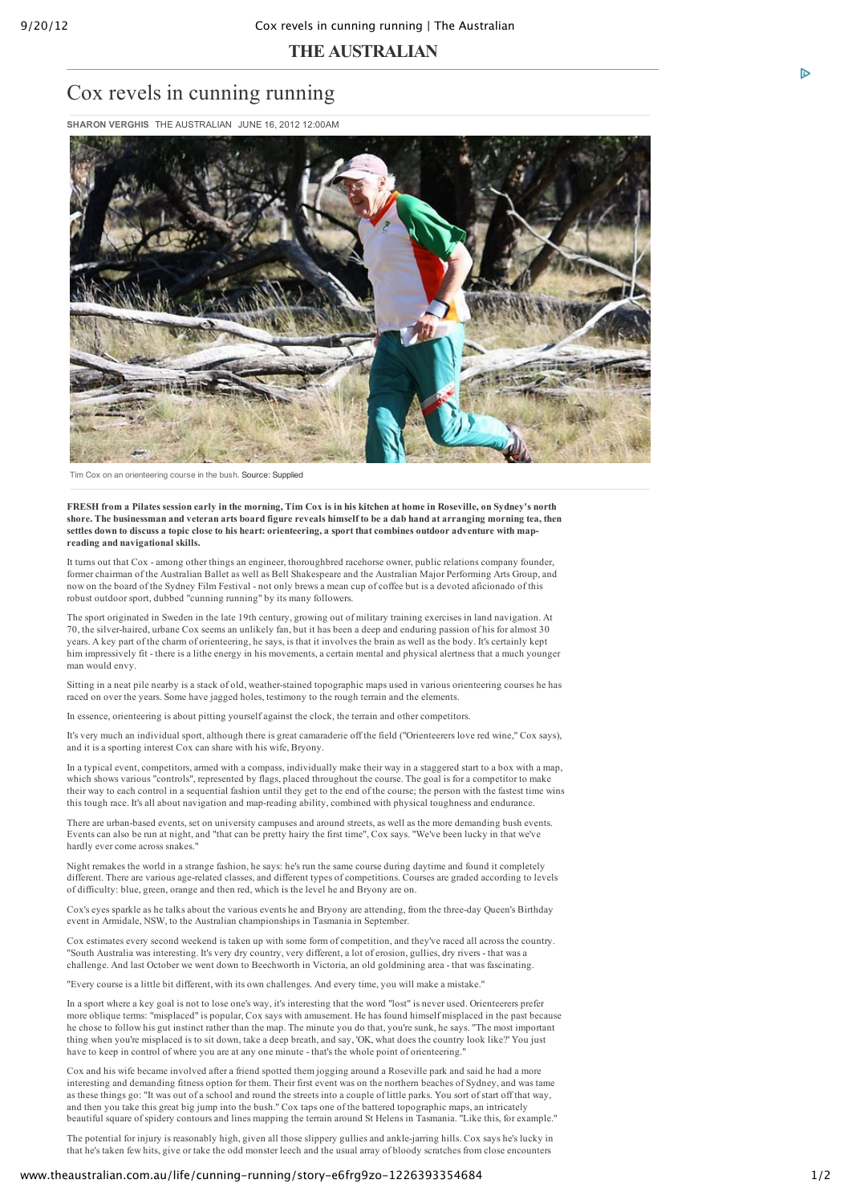## **THE AUSTRALIAN**

## Cox revels in cunning running

**SHARON VERGHIS** THE AUSTRALIAN JUNE 16, 2012 12:00AM



Tim Cox on an orienteering course in the bush. Source: Supplied

FRESH from a Pilates session early in the morning. Tim Cox is in his kitchen at home in Roseville, on Sydney's north shore. The businessman and veteran arts board figure reveals himself to be a dab hand at arranging morning tea, then settles down to discuss a topic close to his heart: orienteering, a sport that combines outdoor adventure with map**reading and navigational skills.**

It turns out that Cox - among other things an engineer, thoroughbred racehorse owner, public relations company founder, former chairman of the Australian Ballet as well as Bell Shakespeare and the Australian Major Performing Arts Group, and now on the board of the Sydney Film Festival - not only brews a mean cup of coffee but is a devoted aficionado of this robust outdoor sport, dubbed "cunning running" by its many followers.

The sport originated in Sweden in the late 19th century, growing out of military training exercises in land navigation. At 70, the silverhaired, urbane Cox seems an unlikely fan, but it has been a deep and enduring passion of his for almost 30 years. A key part of the charm of orienteering, he says, is that it involves the brain as well as the body. It's certainly kept him impressively fit there is a lithe energy in his movements, a certain mental and physical alertness that a much younger man would envy.

Sitting in a neat pile nearby is a stack of old, weather-stained topographic maps used in various orienteering courses he has raced on over the years. Some have jagged holes, testimony to the rough terrain and the elements.

In essence, orienteering is about pitting yourself against the clock, the terrain and other competitors.

It's very much an individual sport, although there is great camaraderie off the field ("Orienteerers love red wine," Cox says), and it is a sporting interest Cox can share with his wife, Bryony.

In a typical event, competitors, armed with a compass, individually make their way in a staggered start to a box with a map, which shows various "controls", represented by flags, placed throughout the course. The goal is for a competitor to make their way to each control in a sequential fashion until they get to the end of the course; the person with the fastest time wins this tough race. It's all about navigation and mapreading ability, combined with physical toughness and endurance.

There are urban-based events, set on university campuses and around streets, as well as the more demanding bush events. Events can also be run at night, and "that can be pretty hairy the first time", Cox says. "We've been lucky in that we've hardly ever come across snakes."

Night remakes the world in a strange fashion, he says: he's run the same course during daytime and found it completely different. There are various agerelated classes, and different types of competitions. Courses are graded according to levels of difficulty: blue, green, orange and then red, which is the level he and Bryony are on.

Cox's eyes sparkle as he talks about the various events he and Bryony are attending, from the threeday Queen's Birthday event in Armidale, NSW, to the Australian championships in Tasmania in September.

Cox estimates every second weekend is taken up with some form of competition, and they've raced all across the country. "South Australia was interesting. It's very dry country, very different, a lot of erosion, gullies, dry rivers that was a challenge. And last October we went down to Beechworth in Victoria, an old goldmining area that was fascinating.

"Every course is a little bit different, with its own challenges. And every time, you will make a mistake."

In a sport where a key goal is not to lose one's way, it's interesting that the word "lost" is never used. Orienteerers prefer more oblique terms: "misplaced" is popular, Cox says with amusement. He has found himself misplaced in the past because he chose to follow his gut instinct rather than the map. The minute you do that, you're sunk, he says. "The most important thing when you're misplaced is to sit down, take a deep breath, and say, 'OK, what does the country look like?' You just have to keep in control of where you are at any one minute - that's the whole point of orienteering.

Cox and his wife became involved after a friend spotted them jogging around a Roseville park and said he had a more interesting and demanding fitness option for them. Their first event was on the northern beaches of Sydney, and was tame as these things go: "It was out of a school and round the streets into a couple of little parks. You sort of start off that way, and then you take this great big jump into the bush." Cox taps one of the battered topographic maps, an intricately beautiful square of spidery contours and lines mapping the terrain around St Helens in Tasmania. "Like this, for example."

The potential for injury is reasonably high, given all those slippery gullies and anklejarring hills. Cox says he's lucky in that he's taken few hits, give or take the odd monster leech and the usual array of bloody scratches from close encounters